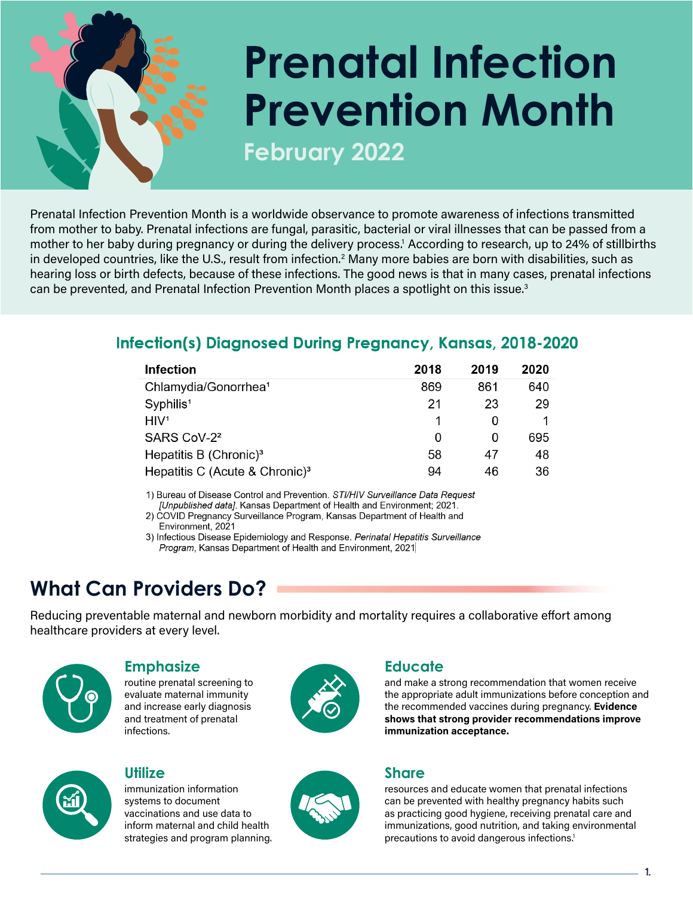# **Prenatal Infection Prevention Month**

**February 2022**

Prenatal Infection Prevention Month is a worldwide observance to promote awareness of infections transmitted from mother to baby. Prenatal infections are fungal, parasitic, bacterial or viral illnesses that can be passed from a mother to her baby during pregnancy or during the delivery process.1 According to research, up to 24% of stillbirths in developed countries, like the U.S., result from infection.<sup>2</sup> Many more babies are born with disabilities, such as hearing loss or birth defects, because of these infections. The good news is that in many cases, prenatal infections can be prevented, and Prenatal Infection Prevention Month places a spotlight on this issue.<sup>3</sup>

#### Infection(s) Diagnosed During Pregnancy, Kansas, 2018-2020

| <b>Infection</b>                           | 2018 | 2019 | 2020 |
|--------------------------------------------|------|------|------|
| Chlamydia/Gonorrhea <sup>1</sup>           | 869  | 861  | 640  |
| Syphilis <sup>1</sup>                      | 21   | 23   | 29   |
| H <sup>1</sup>                             |      |      |      |
| SARS CoV-2 <sup>2</sup>                    | O    | O    | 695  |
| Hepatitis B (Chronic) <sup>3</sup>         | 58   | 47   | 48   |
| Hepatitis C (Acute & Chronic) <sup>3</sup> | 94   | 46   | 36   |

1) Bureau of Disease Control and Prevention. STI/HIV Surveillance Data Request [Unpublished data]. Kansas Department of Health and Environment; 2021.

2) COVID Pregnancy Surveillance Program, Kansas Department of Health and Environment, 2021

3) Infectious Disease Epidemiology and Response. Perinatal Hepatitis Surveillance Program, Kansas Department of Health and Environment, 2021

### **What Can Providers Do?**

Reducing preventable maternal and newborn morbidity and mortality requires a collaborative effort among healthcare providers at every level.



#### **Emphasize**

routine prenatal screening to evaluate maternal immunity and increase early diagnosis and treatment of prenatal infections.





systems to document vaccinations and use data to inform maternal and child health strategies and program planning.





#### **Educate**

and make a strong recommendation that women receive the appropriate adult immunizations before conception and the recommended vaccines during pregnancy. Evidence shows that strong provider recommendations improve immunization acceptance.

#### **Share**

resources and educate women that prenatal infections can be prevented with healthy pregnancy habits such as practicing good hygiene, receiving prenatal care and immunizations, good nutrition, and taking environmental precautions to avoid dangerous infections.<sup>1</sup>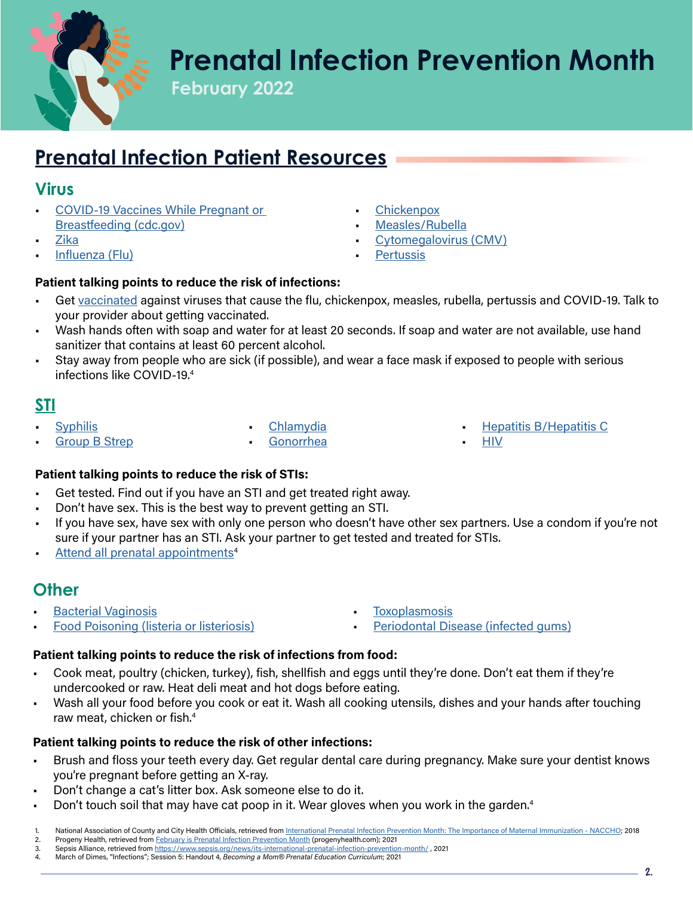

### **Prenatal Infection Prevention Month**

**February 2022**

### **[Prenatal Infection Patient Resources](https://www.cdc.gov/pregnancy/infections.html)**

#### **Virus**

- [COVID-19 Vaccines While Pregnant or](https://www.cdc.gov/coronavirus/2019-ncov/vaccines/recommendations/pregnancy.html)  [Breastfeeding \(cdc.gov\)](https://www.cdc.gov/coronavirus/2019-ncov/vaccines/recommendations/pregnancy.html)
- [Zika](https://www.marchofdimes.org/complications/zika-virus-and-pregnancy.aspx)
- [Influenza \(Flu\)](https://www.marchofdimes.org/complications/influenza-and-pregnancy.aspx)
- **[Chickenpox](https://www.marchofdimes.org/complications/chickenpox-during-pregnancy.aspx)**
- [Measles/Rubella](https://www.marchofdimes.org/complications/rubella-and-pregnancy.aspx)
- [Cytomegalovirus \(CMV\)](https://www.marchofdimes.org/complications/cytomegalovirus-and-pregnancy.aspx)
- **[Pertussis](https://www.marchofdimes.org/pregnancy/vaccinations-and-pregnancy.aspx)**

#### Patient talking points to reduce the risk of infections:

- Get [vaccinated](https://www.marchofdimes.org/pregnancy/vaccinations-and-pregnancy.aspx) against viruses that cause the flu, chickenpox, measles, rubella, pertussis and COVID-19. Talk to your provider about getting vaccinated.
- Wash hands often with soap and water for at least 20 seconds. If soap and water are not available, use hand sanitizer that contains at least 60 percent alcohol.
- Stay away from people who are sick (if possible), and wear a face mask if exposed to people with serious infections like COVID-19.4

#### **[STI](https://www.marchofdimes.org/complications/sexually-transmitted-infections.aspx)**

**[Syphilis](https://www.marchofdimes.org/complications/sexually-transmitted-infections.aspx)** 

• [Chlamydia](https://www.cdc.gov/std/pregnancy/stdfact-pregnancy-detailed.htm)

**[Group B Strep](https://www.marchofdimes.org/complications/group-b-strep-infection.aspx)** 

**[Gonorrhea](https://www.cdc.gov/std/pregnancy/stdfact-pregnancy-detailed.htm)** 

- [Hepatitis B/Hepatitis C](https://www.cdc.gov/std/pregnancy/stdfact-pregnancy-detailed.htm)
- [HIV](https://www.marchofdimes.org/complications/hiv-and-pregnancy.aspx)

#### Patient talking points to reduce the risk of STIs:

- Get tested. Find out if you have an STI and get treated right away.
- Don't have sex. This is the best way to prevent getting an STI.
- If you have sex, have sex with only one person who doesn't have other sex partners. Use a condom if you're not sure if your partner has an STI. Ask your partner to get tested and treated for STIs.
- Attend all prenatal appointments<sup>4</sup>

#### **Other**

• [Bacterial Vaginosis](https://www.marchofdimes.org/complications/bacterial-vaginosis.aspx) • [Food Poisoning \(listeria or listeriosis\)](https://www.marchofdimes.org/complications/food-poisoning-during-pregnancy.aspx)

- **[Toxoplasmosis](https://www.marchofdimes.org/complications/toxoplasmosis.aspx)**
- [Periodontal Disease \(infected gums\)](https://www.marchofdimes.org/pregnancy/dental-health-during-pregnancy.aspx)

#### Patient talking points to reduce the risk of infections from food:

- Cook meat, poultry (chicken, turkey), fish, shellfish and eggs until they're done. Don't eat them if they're undercooked or raw. Heat deli meat and hot dogs before eating.
- Wash all your food before you cook or eat it. Wash all cooking utensils, dishes and your hands after touching raw meat, chicken or fish.4

#### Patient talking points to reduce the risk of other infections:

- Brush and floss your teeth every day. Get regular dental care during pregnancy. Make sure your dentist knows you're pregnant before getting an X-ray.
- Don't change a cat's litter box. Ask someone else to do it.
- Don't touch soil that may have cat poop in it. Wear gloves when you work in the garden.4
- National Association of County and City Health Officials, retrieved from [International Prenatal Infection Prevention Month: The Importance of Maternal Immunization NACCHO;](https://www.naccho.org/blog/articles/international-prenatal-infection-prevention-month-the-importance-of-maternal-immunization) 2018
- 2. Progeny Health, retrieved from [February is Prenatal Infection Prevention Month](https://blog.progenyhealth.com/prenatal-infection-prevention-month) (progenyhealth.com); 2021
- 3. Sepsis Alliance, retrieved from https://www.sepsis.org/news/its-international-prenatal-infection-prevention-month/, 2021<br>4. March of Dimes, "Infections": Session 5: Handout 4. Becoming a Mom® Prenatal Education Curricul 4. March of Dimes, "Infections"; Session 5: Handout 4, Becoming a Mom*®* Prenatal Education Curriculum; 2021